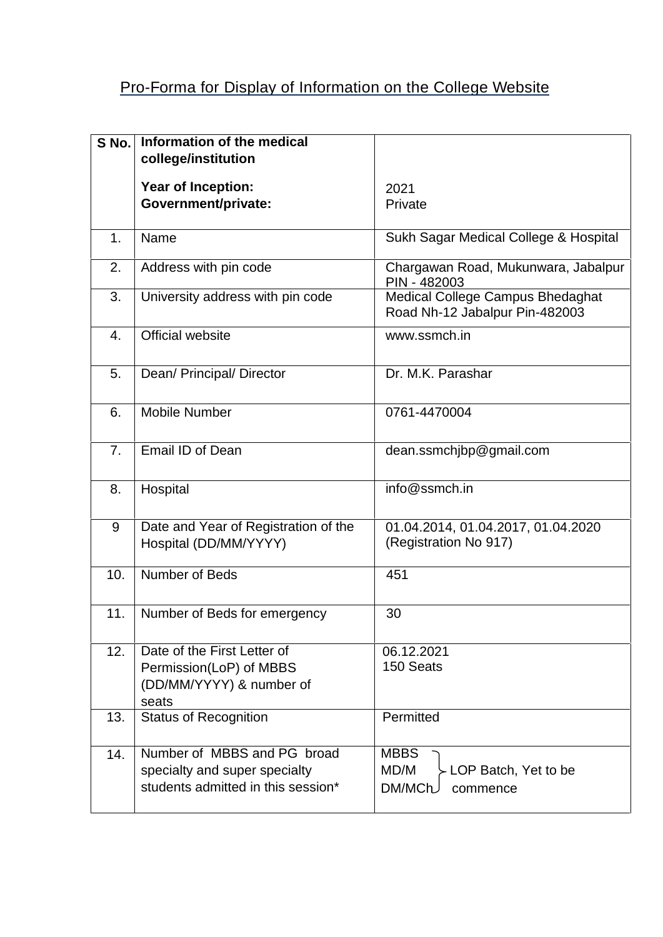## Pro-Forma for Display of Information on the College Website

| S No.          | Information of the medical                                                                         |                                                                     |
|----------------|----------------------------------------------------------------------------------------------------|---------------------------------------------------------------------|
|                | college/institution                                                                                |                                                                     |
|                | <b>Year of Inception:</b>                                                                          | 2021                                                                |
|                | Government/private:                                                                                | Private                                                             |
| 1.             | Name                                                                                               | Sukh Sagar Medical College & Hospital                               |
| 2.             | Address with pin code                                                                              | Chargawan Road, Mukunwara, Jabalpur<br>PIN - 482003                 |
| 3.             | University address with pin code                                                                   | Medical College Campus Bhedaghat<br>Road Nh-12 Jabalpur Pin-482003  |
| 4.             | Official website                                                                                   | www.ssmch.in                                                        |
| 5.             | Dean/ Principal/ Director                                                                          | Dr. M.K. Parashar                                                   |
| 6.             | <b>Mobile Number</b>                                                                               | 0761-4470004                                                        |
| 7 <sub>1</sub> | Email ID of Dean                                                                                   | dean.ssmchjbp@gmail.com                                             |
| 8.             | Hospital                                                                                           | info@ssmch.in                                                       |
| 9              | Date and Year of Registration of the<br>Hospital (DD/MM/YYYY)                                      | 01.04.2014, 01.04.2017, 01.04.2020<br>(Registration No 917)         |
| 10.            | Number of Beds                                                                                     | 451                                                                 |
| 11.            | Number of Beds for emergency                                                                       | 30                                                                  |
| 12.            | Date of the First Letter of<br>Permission(LoP) of MBBS<br>(DD/MM/YYYY) & number of<br>seats        | 06.12.2021<br>150 Seats                                             |
| 13.            | <b>Status of Recognition</b>                                                                       | Permitted                                                           |
| 14.            | Number of MBBS and PG broad<br>specialty and super specialty<br>students admitted in this session* | <b>MBBS</b><br>MD/M<br>- LOP Batch, Yet to be<br>DM/MCh<br>commence |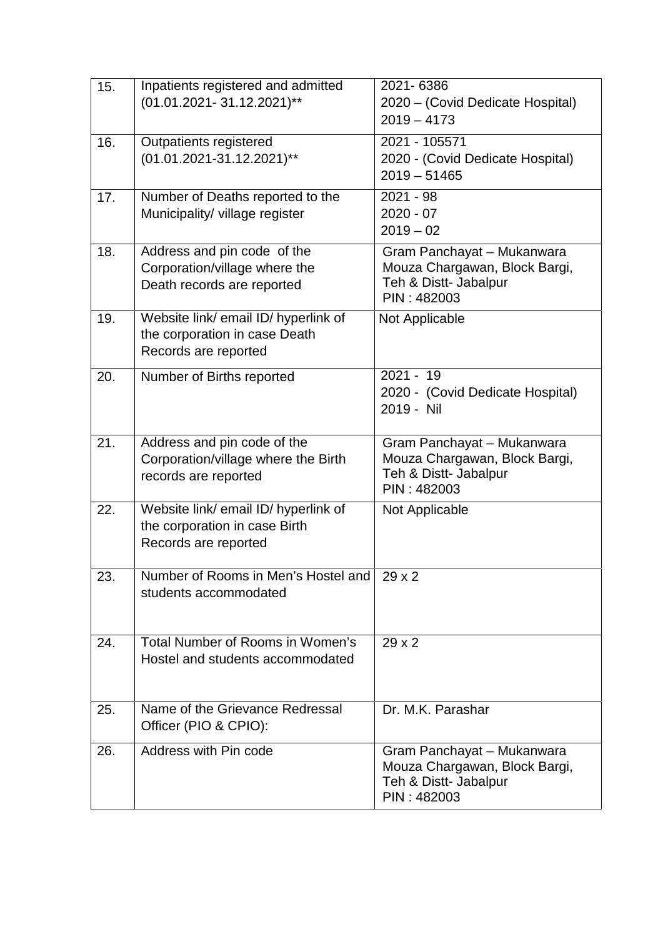| 15. | Inpatients registered and admitted<br>(01.01.2021-31.12.2021)**                               | 2021-6386<br>2020 - (Covid Dedicate Hospital)<br>$2019 - 4173$                                      |
|-----|-----------------------------------------------------------------------------------------------|-----------------------------------------------------------------------------------------------------|
| 16. | Outpatients registered<br>(01.01.2021-31.12.2021)**                                           | 2021 - 105571<br>2020 - (Covid Dedicate Hospital)<br>$2019 - 51465$                                 |
| 17. | Number of Deaths reported to the<br>Municipality/ village register                            | $2021 - 98$<br>$2020 - 07$<br>$2019 - 02$                                                           |
| 18. | Address and pin code of the<br>Corporation/village where the<br>Death records are reported    | Gram Panchayat - Mukanwara<br>Mouza Chargawan, Block Bargi,<br>Teh & Distt- Jabalpur<br>PIN: 482003 |
| 19. | Website link/ email ID/ hyperlink of<br>the corporation in case Death<br>Records are reported | Not Applicable                                                                                      |
| 20. | Number of Births reported                                                                     | $2021 - 19$<br>2020 - (Covid Dedicate Hospital)<br>2019 - Nil                                       |
| 21. | Address and pin code of the<br>Corporation/village where the Birth<br>records are reported    | Gram Panchayat - Mukanwara<br>Mouza Chargawan, Block Bargi,<br>Teh & Distt- Jabalpur<br>PIN: 482003 |
| 22. | Website link/ email ID/ hyperlink of<br>the corporation in case Birth<br>Records are reported | Not Applicable                                                                                      |
| 23. | Number of Rooms in Men's Hostel and 29 x 2<br>students accommodated                           |                                                                                                     |
| 24. | Total Number of Rooms in Women's<br>Hostel and students accommodated                          | $29 \times 2$                                                                                       |
| 25. | Name of the Grievance Redressal<br>Officer (PIO & CPIO):                                      | Dr. M.K. Parashar                                                                                   |
| 26. | Address with Pin code                                                                         | Gram Panchayat - Mukanwara<br>Mouza Chargawan, Block Bargi,<br>Teh & Distt- Jabalpur<br>PIN: 482003 |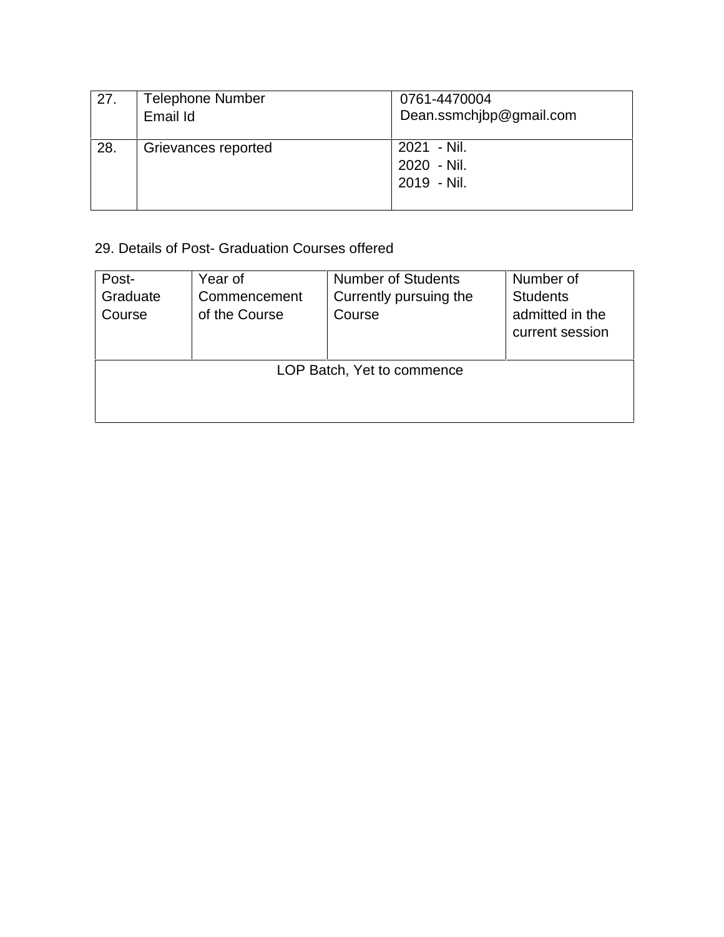| 27. | <b>Telephone Number</b><br>Email Id | 0761-4470004<br>Dean.ssmchjbp@gmail.com   |
|-----|-------------------------------------|-------------------------------------------|
| 28. | Grievances reported                 | 2021 - Nil.<br>2020 - Nil.<br>2019 - Nil. |

## 29. Details of Post- Graduation Courses offered

| Post-                      | Year of                       | <b>Number of Students</b>        | Number of                          |  |  |  |  |  |
|----------------------------|-------------------------------|----------------------------------|------------------------------------|--|--|--|--|--|
| Graduate<br>Course         | Commencement<br>of the Course | Currently pursuing the<br>Course | <b>Students</b><br>admitted in the |  |  |  |  |  |
|                            |                               |                                  | current session                    |  |  |  |  |  |
| LOP Batch, Yet to commence |                               |                                  |                                    |  |  |  |  |  |
|                            |                               |                                  |                                    |  |  |  |  |  |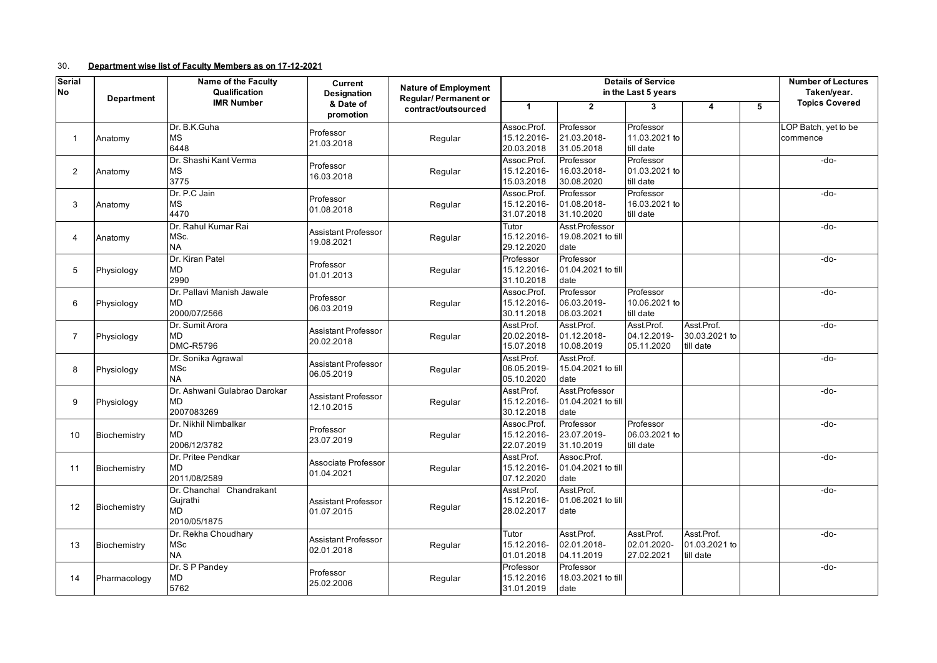## 30. **Department wise list of Faculty Members as on 17-12-2021**

| <b>Serial</b>  |                                                       | <b>Name of the Faculty</b>                                 | Current                                  | <b>Nature of Employment</b> | <b>Details of Service</b>                |                                              |                                         |                                          |   | <b>Number of Lectures</b>        |
|----------------|-------------------------------------------------------|------------------------------------------------------------|------------------------------------------|-----------------------------|------------------------------------------|----------------------------------------------|-----------------------------------------|------------------------------------------|---|----------------------------------|
| <b>No</b>      | <b>Department</b>                                     | Qualification                                              | <b>Designation</b>                       | <b>Regular/Permanent or</b> |                                          |                                              | in the Last 5 years                     |                                          |   | Taken/year.                      |
|                |                                                       | <b>IMR Number</b>                                          | & Date of<br>promotion                   | contract/outsourced         | 1                                        | $\mathbf{2}$                                 | 3                                       | 4                                        | 5 | <b>Topics Covered</b>            |
| $\mathbf{1}$   | Anatomy                                               | Dr. B.K.Guha<br>МS<br>6448                                 | Professor<br>21.03.2018                  | Regular                     | Assoc.Prof.<br>15.12.2016-<br>20.03.2018 | Professor<br>21.03.2018-<br>31.05.2018       | Professor<br>11.03.2021 to<br>till date |                                          |   | LOP Batch, yet to be<br>commence |
| $\overline{2}$ | Dr. Shashi Kant Verma<br><b>MS</b><br>Anatomy<br>3775 |                                                            | Professor<br>16.03.2018                  | Regular                     | Assoc.Prof.<br>15.12.2016-<br>15.03.2018 | Professor<br>16.03.2018-<br>30.08.2020       | Professor<br>01.03.2021 to<br>till date |                                          |   | -do-                             |
| 3              | Anatomy                                               | Dr. P.C Jain<br><b>MS</b><br>4470                          | Professor<br>01.08.2018                  | Regular                     | Assoc.Prof.<br>15.12.2016-<br>31.07.2018 | Professor<br>01.08.2018-<br>31.10.2020       | Professor<br>16.03.2021 to<br>till date |                                          |   | -do-                             |
| 4              | Anatomy                                               | Dr. Rahul Kumar Rai<br>MSc.<br><b>NA</b>                   | <b>Assistant Professor</b><br>19.08.2021 | Regular                     | Tutor<br>15.12.2016-<br>29.12.2020       | Asst.Professor<br>19.08.2021 to till<br>date |                                         |                                          |   | -do-                             |
| 5              | Physiology                                            | Dr. Kiran Patel<br>MD<br>2990                              | Professor<br>01.01.2013                  | Regular                     | Professor<br>15.12.2016-<br>31.10.2018   | Professor<br>01.04.2021 to till<br>date      |                                         |                                          |   | -do-                             |
| 6              | Physiology                                            | Dr. Pallavi Manish Jawale<br>MD<br>2000/07/2566            | Professor<br>06.03.2019                  | Regular                     | Assoc.Prof.<br>15.12.2016-<br>30.11.2018 | Professor<br>06.03.2019-<br>06.03.2021       | Professor<br>10.06.2021 to<br>till date |                                          |   | -do-                             |
| $\overline{7}$ | Physiology                                            | Dr. Sumit Arora<br>MD<br><b>DMC-R5796</b>                  | Assistant Professor<br>20.02.2018        | Regular                     | Asst.Prof.<br>20.02.2018-<br>15.07.2018  | Asst.Prof.<br>01.12.2018-<br>10.08.2019      | Asst.Prof.<br>04.12.2019-<br>05.11.2020 | Asst.Prof.<br>30.03.2021 to<br>till date |   | -do-                             |
| 8              | Physiology                                            | Dr. Sonika Agrawal<br>MSc<br><b>NA</b>                     | <b>Assistant Professor</b><br>06.05.2019 | Regular                     | Asst.Prof.<br>06.05.2019-<br>05.10.2020  | Asst.Prof.<br>15.04.2021 to till<br>date     |                                         |                                          |   | -do-                             |
| 9              | Physiology                                            | Dr. Ashwani Gulabrao Darokar<br>MD<br>2007083269           | <b>Assistant Professor</b><br>12.10.2015 | Regular                     | Asst.Prof.<br>15.12.2016-<br>30.12.2018  | Asst.Professor<br>01.04.2021 to till<br>date |                                         |                                          |   | -do-                             |
| 10             | Biochemistry                                          | Dr. Nikhil Nimbalkar<br>MD<br>2006/12/3782                 | Professor<br>23.07.2019                  | Regular                     | Assoc.Prof.<br>15.12.2016-<br>22.07.2019 | Professor<br>23.07.2019-<br>31.10.2019       | Professor<br>06.03.2021 to<br>till date |                                          |   | -do-                             |
| 11             | Biochemistry                                          | Dr. Pritee Pendkar<br>MD<br>2011/08/2589                   | Associate Professor<br>01.04.2021        | Regular                     | Asst.Prof.<br>15.12.2016-<br>07.12.2020  | Assoc.Prof.<br>01.04.2021 to till<br>date    |                                         |                                          |   | -do-                             |
| 12             | Biochemistry                                          | Dr. Chanchal Chandrakant<br>Gujrathi<br>MD<br>2010/05/1875 | <b>Assistant Professor</b><br>01.07.2015 | Regular                     | Asst.Prof.<br>15.12.2016-<br>28.02.2017  | Asst.Prof.<br>01.06.2021 to till<br>date     |                                         |                                          |   | -do-                             |
| 13             | Biochemistry                                          | Dr. Rekha Choudhary<br><b>MSc</b><br><b>NA</b>             | <b>Assistant Professor</b><br>02.01.2018 | Regular                     | Tutor<br>15.12.2016-<br>01.01.2018       | Asst.Prof.<br>02.01.2018-<br>04.11.2019      | Asst.Prof.<br>02.01.2020-<br>27.02.2021 | Asst.Prof.<br>01.03.2021 to<br>till date |   | -do-                             |
| 14             | Pharmacology                                          | Dr. S P Pandey<br>MD<br>5762                               | Professor<br>25.02.2006                  | Regular                     | Professor<br>15.12.2016<br>31.01.2019    | Professor<br>18.03.2021 to till<br>date      |                                         |                                          |   | $-do-$                           |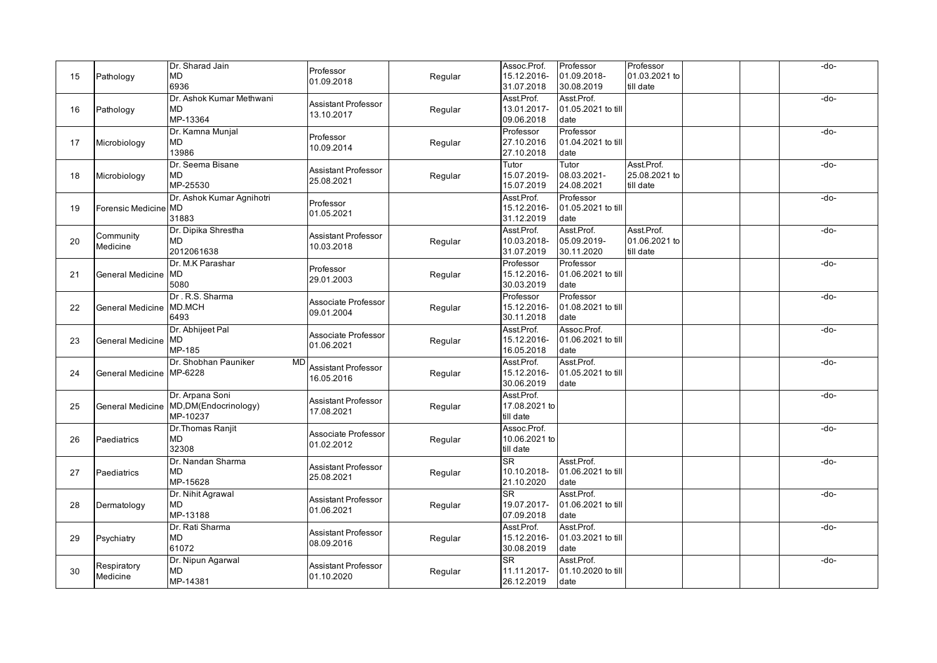| 15 | Pathology               | Dr. Sharad Jain<br><b>MD</b><br>6936                  | Professor<br>01.09.2018                  | Regular | Assoc.Prof.<br>15.12.2016-<br>31.07.2018  | Professor<br>01.09.2018-<br>30.08.2019    | Professor<br>01.03.2021 to<br>till date  | -do-   |
|----|-------------------------|-------------------------------------------------------|------------------------------------------|---------|-------------------------------------------|-------------------------------------------|------------------------------------------|--------|
| 16 | Pathology               | Dr. Ashok Kumar Methwani<br><b>MD</b><br>MP-13364     | <b>Assistant Professor</b><br>13.10.2017 | Regular | Asst.Prof.<br>13.01.2017-<br>09.06.2018   | Asst.Prof.<br>01.05.2021 to till<br>date  |                                          | -do-   |
| 17 | Microbiology            | Dr. Kamna Munjal<br>MD<br>13986                       | Professor<br>10.09.2014                  | Regular | Professor<br>27.10.2016<br>27.10.2018     | Professor<br>01.04.2021 to till<br>date   |                                          | -do-   |
| 18 | Microbiology            | Dr. Seema Bisane<br><b>MD</b><br>MP-25530             | Assistant Professor<br>25.08.2021        | Regular | Tutor<br>15.07.2019-<br>15.07.2019        | Tutor<br>08.03.2021-<br>24.08.2021        | Asst.Prof.<br>25.08.2021 to<br>till date | -do-   |
| 19 | Forensic Medicine MD    | Dr. Ashok Kumar Agnihotri<br>31883                    | Professor<br>01.05.2021                  |         | Asst.Prof.<br>15.12.2016-<br>31.12.2019   | Professor<br>01.05.2021 to till<br>date   |                                          | -do-   |
| 20 | Community<br>Medicine   | Dr. Dipika Shrestha<br>MD<br>2012061638               | Assistant Professor<br>10.03.2018        | Regular | Asst.Prof.<br>10.03.2018-<br>31.07.2019   | Asst.Prof.<br>05.09.2019-<br>30.11.2020   | Asst.Prof.<br>01.06.2021 to<br>till date | -do-   |
| 21 | <b>General Medicine</b> | Dr. M.K Parashar<br>MD<br>5080                        | Professor<br>29.01.2003                  | Regular | Professor<br>15.12.2016-<br>30.03.2019    | Professor<br>01.06.2021 to till<br>date   |                                          | $-do-$ |
| 22 | <b>General Medicine</b> | Dr. R.S. Sharma<br>MD.MCH<br>6493                     | Associate Professor<br>09.01.2004        | Regular | Professor<br>15.12.2016-<br>30.11.2018    | Professor<br>01.08.2021 to till<br>date   |                                          | $-do-$ |
| 23 | General Medicine        | Dr. Abhijeet Pal<br>MD<br>MP-185                      | Associate Professor<br>01.06.2021        | Regular | Asst.Prof.<br>15.12.2016-<br>16.05.2018   | Assoc.Prof.<br>01.06.2021 to till<br>date |                                          | -do-   |
| 24 | <b>General Medicine</b> | Dr. Shobhan Pauniker<br><b>MD</b><br>MP-6228          | Assistant Professor<br>16.05.2016        | Regular | Asst.Prof.<br>15.12.2016-<br>30.06.2019   | Asst.Prof.<br>01.05.2021 to till<br>date  |                                          | $-do-$ |
| 25 | <b>General Medicine</b> | Dr. Arpana Soni<br>MD, DM (Endocrinology)<br>MP-10237 | <b>Assistant Professor</b><br>17.08.2021 | Regular | Asst Prof.<br>17.08.2021 to<br>till date  |                                           |                                          | $-do-$ |
| 26 | Paediatrics             | Dr. Thomas Ranjit<br>MD<br>32308                      | Associate Professor<br>01.02.2012        | Regular | Assoc.Prof.<br>10.06.2021 to<br>till date |                                           |                                          | -do-   |
| 27 | Paediatrics             | Dr. Nandan Sharma<br><b>MD</b><br>MP-15628            | Assistant Professor<br>25.08.2021        | Regular | <b>SR</b><br>10.10.2018-<br>21.10.2020    | Asst.Prof.<br>01.06.2021 to till<br>date  |                                          | $-do-$ |
| 28 | Dermatology             | Dr. Nihit Agrawal<br>MD<br>MP-13188                   | <b>Assistant Professor</b><br>01.06.2021 | Regular | SR.<br>19.07.2017-<br>07.09.2018          | Asst.Prof.<br>01.06.2021 to till<br>date  |                                          | $-do-$ |
| 29 | Psychiatry              | Dr. Rati Sharma<br><b>MD</b><br>61072                 | <b>Assistant Professor</b><br>08.09.2016 | Regular | Asst.Prof.<br>15.12.2016-<br>30.08.2019   | Asst.Prof.<br>01.03.2021 to till<br>date  |                                          | -do-   |
| 30 | Respiratory<br>Medicine | Dr. Nipun Agarwal<br>MD<br>MP-14381                   | Assistant Professor<br>01.10.2020        | Regular | <b>SR</b><br>11.11.2017-<br>26.12.2019    | Asst.Prof.<br>01.10.2020 to till<br>date  |                                          | -do-   |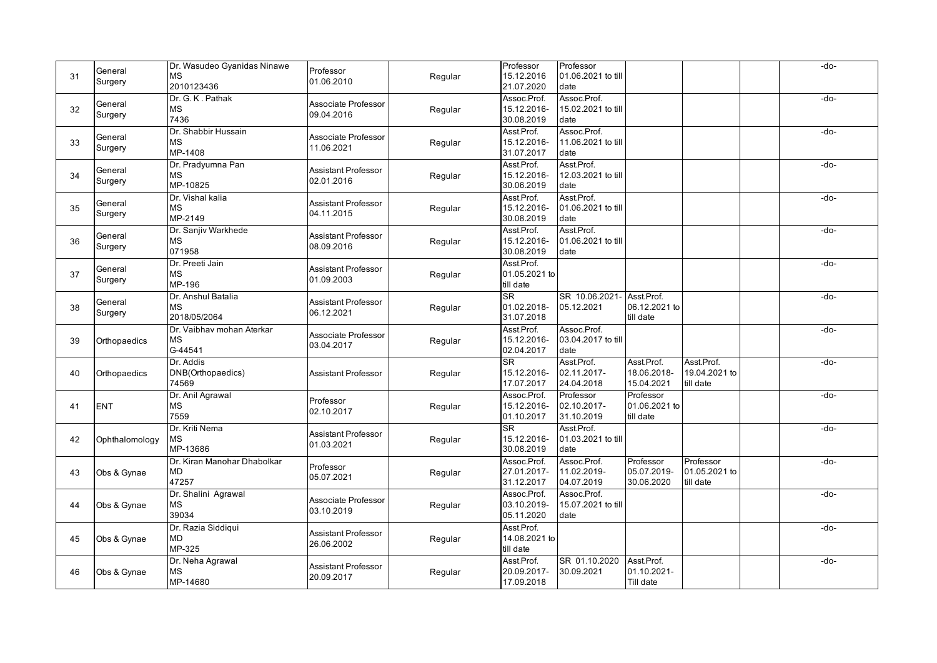| 31 | General<br>Surgery | Dr. Wasudeo Gyanidas Ninawe<br><b>MS</b><br>2010123436 | Professor<br>01.06.2010                  | Regular | Professor<br>15.12.2016<br>21.07.2020               | Professor<br>01.06.2021 to till<br>date   |                                          |                                          | -do- |
|----|--------------------|--------------------------------------------------------|------------------------------------------|---------|-----------------------------------------------------|-------------------------------------------|------------------------------------------|------------------------------------------|------|
| 32 | General<br>Surgery | Dr. G. K. Pathak<br><b>MS</b><br>7436                  | Associate Professor<br>09.04.2016        | Regular | Assoc.Prof.<br>15.12.2016-<br>30.08.2019            | Assoc.Prof.<br>15.02.2021 to till<br>date |                                          |                                          | -do- |
| 33 | General<br>Surgery | Dr. Shabbir Hussain<br><b>MS</b><br>MP-1408            | Associate Professor<br>11.06.2021        | Regular | Asst.Prof.<br>15.12.2016-<br>31.07.2017             | Assoc.Prof.<br>11.06.2021 to till<br>date |                                          |                                          | -do- |
| 34 | General<br>Surgery | Dr. Pradyumna Pan<br><b>MS</b><br>MP-10825             | Assistant Professor<br>02.01.2016        | Regular | Asst.Prof.<br>15.12.2016-<br>30.06.2019             | Asst.Prof.<br>12.03.2021 to till<br>date  |                                          |                                          | -do- |
| 35 | General<br>Surgery | Dr. Vishal kalia<br><b>MS</b><br>MP-2149               | Assistant Professor<br>04.11.2015        | Regular | Asst.Prof.<br>15.12.2016-<br>30.08.2019             | Asst.Prof.<br>01.06.2021 to till<br>date  |                                          |                                          | -do- |
| 36 | General<br>Surgery | Dr. Sanjiv Warkhede<br><b>MS</b><br>071958             | Assistant Professor<br>08.09.2016        | Regular | Asst.Prof.<br>15.12.2016-<br>30.08.2019             | Asst.Prof.<br>01.06.2021 to till<br>date  |                                          |                                          | -do- |
| 37 | General<br>Surgery | Dr. Preeti Jain<br><b>MS</b><br>MP-196                 | <b>Assistant Professor</b><br>01.09.2003 | Regular | Asst.Prof.<br>01.05.2021 to<br>till date            |                                           |                                          |                                          | -do- |
| 38 | General<br>Surgery | Dr. Anshul Batalia<br><b>MS</b><br>2018/05/2064        | <b>Assistant Professor</b><br>06.12.2021 | Regular | <b>SR</b><br>01.02.2018-<br>31.07.2018              | SR 10.06.2021-<br>05.12.2021              | Asst.Prof.<br>06.12.2021 to<br>till date |                                          | -do- |
| 39 | Orthopaedics       | Dr. Vaibhav mohan Aterkar<br><b>MS</b><br>G-44541      | Associate Professor<br>03.04.2017        | Regular | Asst.Prof.<br>15.12.2016-<br>02.04.2017             | Assoc.Prof.<br>03.04.2017 to till<br>date |                                          |                                          | -do- |
| 40 | Orthopaedics       | Dr. Addis<br>DNB(Orthopaedics)<br>74569                | <b>Assistant Professor</b>               | Regular | <b>SR</b><br>15.12.2016-<br>17.07.2017              | Asst.Prof.<br>02.11.2017-<br>24.04.2018   | Asst.Prof.<br>18.06.2018-<br>15.04.2021  | Asst.Prof.<br>19.04.2021 to<br>till date | -do- |
| 41 | <b>ENT</b>         | Dr. Anil Agrawal<br>MS<br>7559                         | Professor<br>02.10.2017                  | Regular | Assoc.Prof.<br>15.12.2016-<br>01.10.2017            | Professor<br>02.10.2017-<br>31.10.2019    | Professor<br>01.06.2021 to<br>till date  |                                          | -do- |
| 42 | Ophthalomology     | Dr. Kriti Nema<br><b>MS</b><br>MP-13686                | <b>Assistant Professor</b><br>01.03.2021 | Regular | $\overline{\text{SR}}$<br>15.12.2016-<br>30.08.2019 | Asst.Prof.<br>01.03.2021 to till<br>date  |                                          |                                          | -do- |
| 43 | Obs & Gynae        | Dr. Kiran Manohar Dhabolkar<br><b>MD</b><br>47257      | Professor<br>05.07.2021                  | Regular | Assoc.Prof.<br>27.01.2017-<br>31.12.2017            | Assoc.Prof.<br>11.02.2019-<br>04.07.2019  | Professor<br>05.07.2019<br>30.06.2020    | Professor<br>01.05.2021 to<br>till date  | -do- |
| 44 | Obs & Gynae        | Dr. Shalini Agrawal<br><b>MS</b><br>39034              | Associate Professor<br>03.10.2019        | Regular | Assoc.Prof.<br>03.10.2019-<br>05.11.2020            | Assoc.Prof.<br>15.07.2021 to till<br>date |                                          |                                          | -do- |
| 45 | Obs & Gynae        | Dr. Razia Siddiqui<br><b>MD</b><br>MP-325              | Assistant Professor<br>26.06.2002        | Regular | Asst.Prof.<br>14.08.2021 to<br>till date            |                                           |                                          |                                          | -do- |
| 46 | Obs & Gynae        | Dr. Neha Agrawal<br><b>MS</b><br>MP-14680              | Assistant Professor<br>20.09.2017        | Regular | Asst.Prof.<br>20.09.2017-<br>17.09.2018             | SR 01.10.2020<br>30.09.2021               | Asst.Prof.<br>01.10.2021-<br>Till date   |                                          | -do- |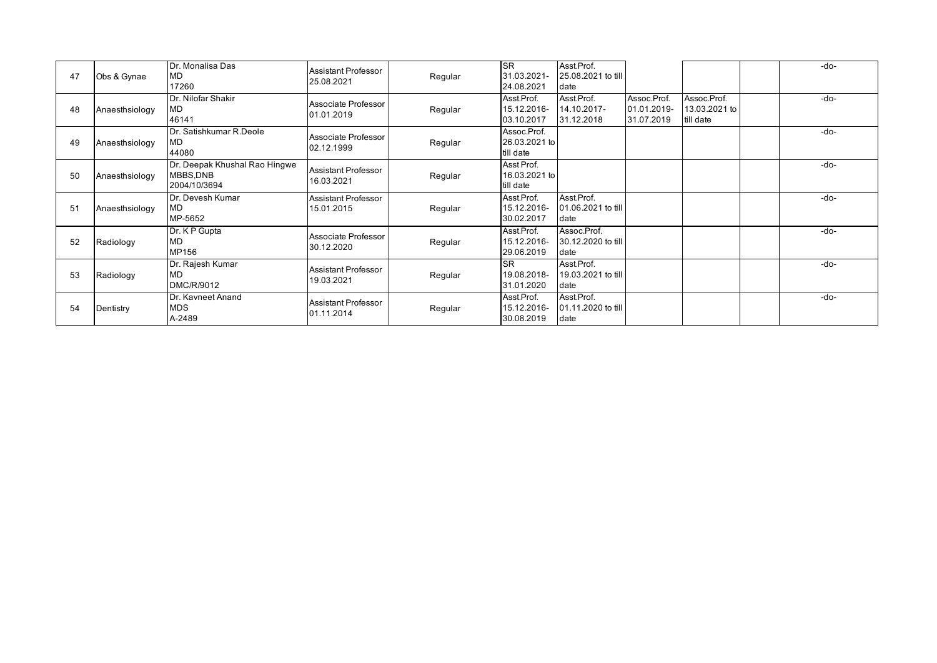| 47 | Obs & Gynae    | Dr. Monalisa Das<br><b>MD</b><br>17260                    | Assistant Professor<br>25.08.2021        | Regular | <b>SR</b><br>31.03.2021-<br>24.08.2021    | Asst.Prof.<br>25.08.2021 to till<br>date  |                                          |                                           | $-do-$ |
|----|----------------|-----------------------------------------------------------|------------------------------------------|---------|-------------------------------------------|-------------------------------------------|------------------------------------------|-------------------------------------------|--------|
| 48 | Anaesthsiology | Dr. Nilofar Shakir<br>MD<br>46141                         | Associate Professor<br>01.01.2019        | Regular | Asst Prof.<br>15.12.2016-<br>03.10.2017   | Asst.Prof.<br>14.10.2017-<br>31.12.2018   | Assoc.Prof.<br>01.01.2019-<br>31.07.2019 | Assoc.Prof.<br>13.03.2021 to<br>till date | $-do-$ |
| 49 | Anaesthsiology | Dr. Satishkumar R.Deole<br>MD<br>44080                    | Associate Professor<br>02.12.1999        | Regular | Assoc.Prof.<br>26.03.2021 to<br>till date |                                           |                                          |                                           | -do-   |
| 50 | Anaesthsiology | Dr. Deepak Khushal Rao Hingwe<br>MBBS,DNB<br>2004/10/3694 | Assistant Professor<br>16.03.2021        | Regular | Asst Prof.<br>16.03.2021 to<br>till date  |                                           |                                          |                                           | $-do-$ |
| 51 | Anaesthsiology | Dr. Devesh Kumar<br>MD.<br>MP-5652                        | <b>Assistant Professor</b><br>15.01.2015 | Regular | Asst Prof.<br>15.12.2016-<br>30.02.2017   | Asst.Prof.<br>01.06.2021 to till<br>date  |                                          |                                           | $-do-$ |
| 52 | Radiology      | Dr. K P Gupta<br>MD<br>MP156                              | Associate Professor<br>30.12.2020        | Regular | Asst Prof.<br>15.12.2016-<br>29.06.2019   | Assoc.Prof.<br>30.12.2020 to till<br>date |                                          |                                           | $-do-$ |
| 53 | Radiology      | Dr. Rajesh Kumar<br><b>MD</b><br>DMC/R/9012               | Assistant Professor<br>19.03.2021        | Regular | <b>ISR</b><br>19.08.2018-<br>31.01.2020   | Asst.Prof.<br>19.03.2021 to till<br>date  |                                          |                                           | $-do-$ |
| 54 | Dentistry      | Dr. Kavneet Anand<br><b>MDS</b><br>A-2489                 | Assistant Professor<br>01.11.2014        | Regular | Asst.Prof.<br>15.12.2016-<br>30.08.2019   | Asst.Prof.<br>01.11.2020 to till<br>date  |                                          |                                           | $-do-$ |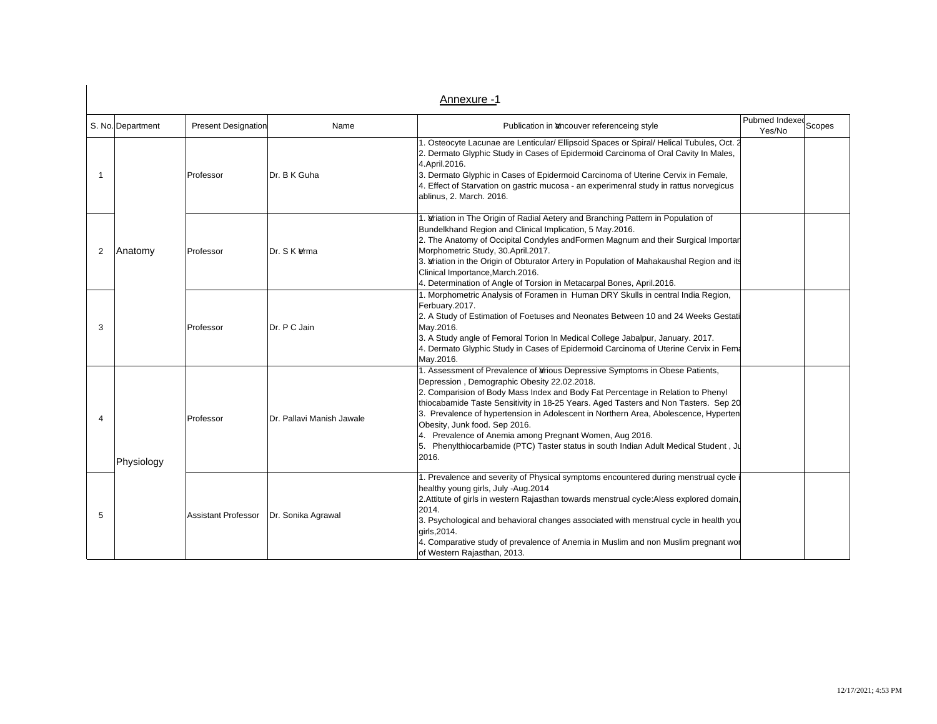|                          | S. No. Department | <b>Present Designation</b> | Name                      | Publication in ancouver referenceing style                                                                                                                                                                                                                                                                                                                                                                                                                                                                                                                                                       | Pubmed Indexed Scopes<br>Yes/No |  |
|--------------------------|-------------------|----------------------------|---------------------------|--------------------------------------------------------------------------------------------------------------------------------------------------------------------------------------------------------------------------------------------------------------------------------------------------------------------------------------------------------------------------------------------------------------------------------------------------------------------------------------------------------------------------------------------------------------------------------------------------|---------------------------------|--|
| 1                        |                   | Professor                  | Dr. B K Guha              | 1. Osteocyte Lacunae are Lenticular/ Ellipsoid Spaces or Spiral/ Helical Tubules, Oct. 2<br>2. Dermato Glyphic Study in Cases of Epidermoid Carcinoma of Oral Cavity In Males,<br>4. April. 2016.<br>3. Dermato Glyphic in Cases of Epidermoid Carcinoma of Uterine Cervix in Female,<br>4. Effect of Starvation on gastric mucosa - an experimenral study in rattus norvegicus<br>ablinus, 2. March. 2016.                                                                                                                                                                                      |                                 |  |
| 2                        | Anatomy           | Professor                  | Dr. S K &ma               | 1. Wriation in The Origin of Radial Aetery and Branching Pattern in Population of<br>Bundelkhand Region and Clinical Implication, 5 May.2016.<br>2. The Anatomy of Occipital Condyles and Formen Magnum and their Surgical Importar<br>Morphometric Study, 30.April.2017.<br>3. ariation in the Origin of Obturator Artery in Population of Mahakaushal Region and its<br>Clinical Importance, March.2016.<br>4. Determination of Angle of Torsion in Metacarpal Bones, April.2016.                                                                                                              |                                 |  |
| 3                        |                   | Professor                  | Dr. P C Jain              | 1. Morphometric Analysis of Foramen in Human DRY Skulls in central India Region,<br>Ferbuary.2017.<br>2. A Study of Estimation of Foetuses and Neonates Between 10 and 24 Weeks Gestati<br>May.2016.<br>3. A Study angle of Femoral Torion In Medical College Jabalpur, January. 2017.<br>4. Dermato Glyphic Study in Cases of Epidermoid Carcinoma of Uterine Cervix in Fema<br>May.2016.                                                                                                                                                                                                       |                                 |  |
| $\overline{\mathcal{A}}$ | Physiology        | Professor                  | Dr. Pallavi Manish Jawale | 1. Assessment of Prevalence of <i>drious</i> Depressive Symptoms in Obese Patients,<br>Depression, Demographic Obesity 22.02.2018.<br>2. Comparision of Body Mass Index and Body Fat Percentage in Relation to Phenyl<br>thiocabamide Taste Sensitivity in 18-25 Years. Aged Tasters and Non Tasters. Sep 20<br>3. Prevalence of hypertension in Adolescent in Northern Area, Abolescence, Hyperten<br>Obesity, Junk food. Sep 2016.<br>4. Prevalence of Anemia among Pregnant Women, Aug 2016.<br>5. Phenylthiocarbamide (PTC) Taster status in south Indian Adult Medical Student, Ju<br>2016. |                                 |  |
| 5                        |                   | <b>Assistant Professor</b> | Dr. Sonika Agrawal        | 1. Prevalence and severity of Physical symptoms encountered during menstrual cycle<br>healthy young girls, July -Aug.2014<br>2. Attitute of girls in western Rajasthan towards menstrual cycle: Aless explored domain,<br>2014.<br>3. Psychological and behavioral changes associated with menstrual cycle in health you<br>qirls, 2014.<br>4. Comparative study of prevalence of Anemia in Muslim and non Muslim pregnant wor<br>of Western Rajasthan, 2013.                                                                                                                                    |                                 |  |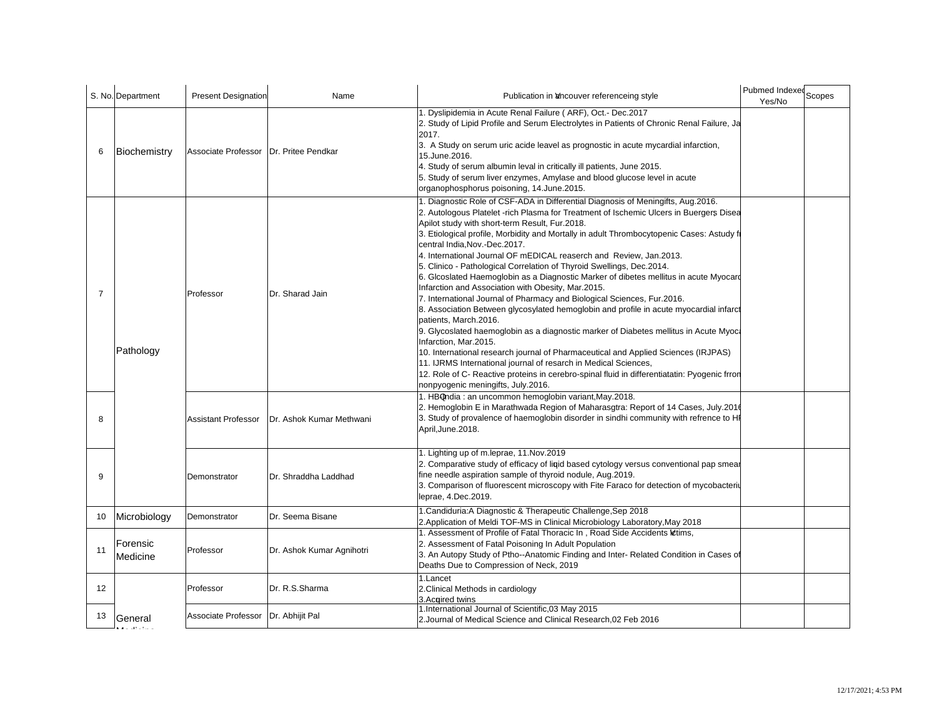|                | S. No. Department    | <b>Present Designation</b>               | Name                      | Publication in ancouver referenceing style                                                                                                                                                                                                                                                                                                                                                                                                                                                                                                                                                                                                                                                                                                                                                                                                                                                                                                                                                                                                                                                                                                                                                                                                                                                                                        | Pubmed Indexed Scopes<br>Yes/No |
|----------------|----------------------|------------------------------------------|---------------------------|-----------------------------------------------------------------------------------------------------------------------------------------------------------------------------------------------------------------------------------------------------------------------------------------------------------------------------------------------------------------------------------------------------------------------------------------------------------------------------------------------------------------------------------------------------------------------------------------------------------------------------------------------------------------------------------------------------------------------------------------------------------------------------------------------------------------------------------------------------------------------------------------------------------------------------------------------------------------------------------------------------------------------------------------------------------------------------------------------------------------------------------------------------------------------------------------------------------------------------------------------------------------------------------------------------------------------------------|---------------------------------|
| 6              | Biochemistry         | Associate Professor   Dr. Pritee Pendkar |                           | 1. Dyslipidemia in Acute Renal Failure (ARF), Oct.- Dec.2017<br>2. Study of Lipid Profile and Serum Electrolytes in Patients of Chronic Renal Failure, Ja<br>2017.<br>3. A Study on serum uric acide leavel as prognostic in acute mycardial infarction,<br>15.June.2016.<br>4. Study of serum albumin leval in critically ill patients, June 2015.<br>5. Study of serum liver enzymes, Amylase and blood glucose level in acute<br>organophosphorus poisoning, 14.June.2015.                                                                                                                                                                                                                                                                                                                                                                                                                                                                                                                                                                                                                                                                                                                                                                                                                                                     |                                 |
| $\overline{7}$ | Pathology            | Professor                                | Dr. Sharad Jain           | 1. Diagnostic Role of CSF-ADA in Differential Diagnosis of Meningifts, Aug.2016.<br>2. Autologous Platelet -rich Plasma for Treatment of Ischemic Ulcers in Buergers Disea<br>Apilot study with short-term Result, Fur.2018.<br>3. Etiological profile, Morbidity and Mortally in adult Thrombocytopenic Cases: Astudy fi<br>central India, Nov.-Dec. 2017.<br>4. International Journal OF mEDICAL reaserch and Review, Jan.2013.<br>5. Clinico - Pathological Correlation of Thyroid Swellings, Dec.2014.<br>6. Glcoslated Haemoglobin as a Diagnostic Marker of dibetes mellitus in acute Myocard<br>Infarction and Association with Obesity, Mar.2015.<br>7. International Journal of Pharmacy and Biological Sciences, Fur.2016.<br>8. Association Between glycosylated hemoglobin and profile in acute myocardial infarct<br>patients, March.2016.<br>9. Glycoslated haemoglobin as a diagnostic marker of Diabetes mellitus in Acute Myoc.<br>Infarction, Mar.2015.<br>10. International research journal of Pharmaceutical and Applied Sciences (IRJPAS)<br>11. IJRMS International journal of resarch in Medical Sciences,<br>12. Role of C- Reactive proteins in cerebro-spinal fluid in differentiatatin: Pyogenic frron<br>nonpyogenic meningifts, July.2016.<br>1. HBOndia: an uncommon hemoglobin variant, May.2018. |                                 |
| 8              |                      | <b>Assistant Professor</b>               | Dr. Ashok Kumar Methwani  | 2. Hemoglobin E in Marathwada Region of Maharasgtra: Report of 14 Cases, July.2016<br>3. Study of provalence of haemoglobin disorder in sindhi community with refrence to HI<br>April, June. 2018.                                                                                                                                                                                                                                                                                                                                                                                                                                                                                                                                                                                                                                                                                                                                                                                                                                                                                                                                                                                                                                                                                                                                |                                 |
| 9              |                      | Demonstrator                             | Dr. Shraddha Laddhad      | 1. Lighting up of m.leprae, 11. Nov. 2019<br>2. Comparative study of efficacy of liqid based cytology versus conventional pap smear<br>fine needle aspiration sample of thyroid nodule, Aug.2019.<br>3. Comparison of fluorescent microscopy with Fite Faraco for detection of mycobacteriu<br>leprae, 4.Dec.2019.                                                                                                                                                                                                                                                                                                                                                                                                                                                                                                                                                                                                                                                                                                                                                                                                                                                                                                                                                                                                                |                                 |
| 10             | Microbiology         | Demonstrator                             | Dr. Seema Bisane          | 1. Candiduria: A Diagnostic & Therapeutic Challenge, Sep 2018<br>2. Application of Meldi TOF-MS in Clinical Microbiology Laboratory, May 2018                                                                                                                                                                                                                                                                                                                                                                                                                                                                                                                                                                                                                                                                                                                                                                                                                                                                                                                                                                                                                                                                                                                                                                                     |                                 |
| 11             | Forensic<br>Medicine | Professor                                | Dr. Ashok Kumar Agnihotri | 1. Assessment of Profile of Fatal Thoracic In, Road Side Accidents Metims,<br>2. Assessment of Fatal Poisoning In Adult Population<br>3. An Autopy Study of Ptho--Anatomic Finding and Inter- Related Condition in Cases of<br>Deaths Due to Compression of Neck, 2019                                                                                                                                                                                                                                                                                                                                                                                                                                                                                                                                                                                                                                                                                                                                                                                                                                                                                                                                                                                                                                                            |                                 |
| 12             |                      | Professor                                | Dr. R.S.Sharma            | 1.Lancet<br>2. Clinical Methods in cardiology                                                                                                                                                                                                                                                                                                                                                                                                                                                                                                                                                                                                                                                                                                                                                                                                                                                                                                                                                                                                                                                                                                                                                                                                                                                                                     |                                 |
| 13             | <b>General</b>       | Associate Professor                      | Dr. Abhijit Pal           | 3. Acgired twins<br>1. International Journal of Scientific, 03 May 2015<br>2. Journal of Medical Science and Clinical Research.02 Feb 2016                                                                                                                                                                                                                                                                                                                                                                                                                                                                                                                                                                                                                                                                                                                                                                                                                                                                                                                                                                                                                                                                                                                                                                                        |                                 |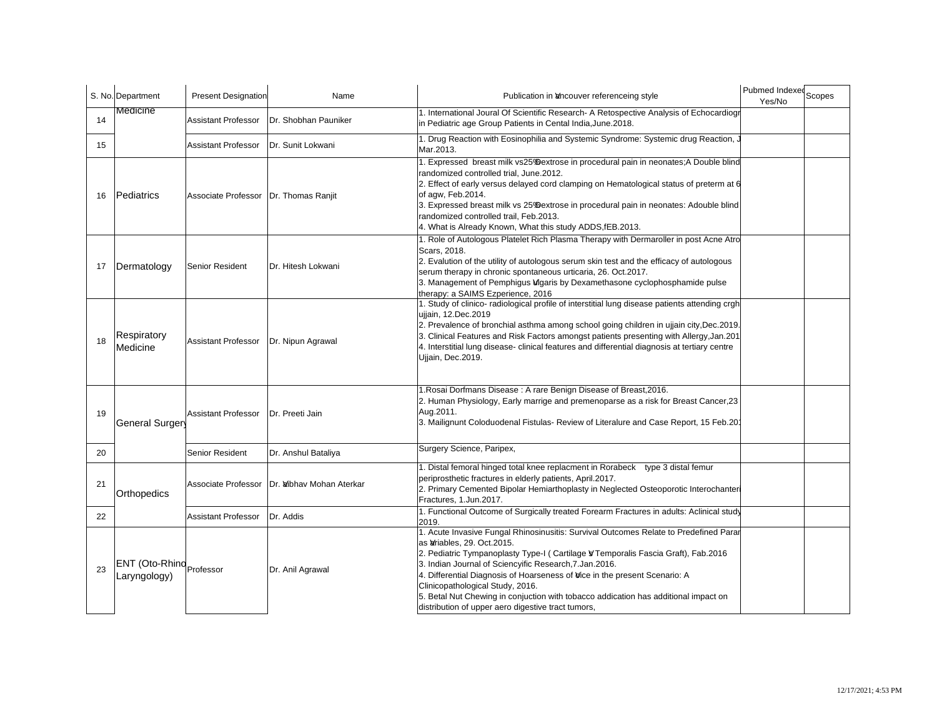|    | S. No. Department                        | <b>Present Designation</b>              | Name                     | Publication in ancouver referenceing style                                                                                                                                                                                                                                                                                                                                                                                                                                                                                                   | Pubmed Indexed<br>Scopes<br>Yes/No |
|----|------------------------------------------|-----------------------------------------|--------------------------|----------------------------------------------------------------------------------------------------------------------------------------------------------------------------------------------------------------------------------------------------------------------------------------------------------------------------------------------------------------------------------------------------------------------------------------------------------------------------------------------------------------------------------------------|------------------------------------|
| 14 | Medicine                                 | <b>Assistant Professor</b>              | Dr. Shobhan Pauniker     | 1. International Joural Of Scientific Research- A Retospective Analysis of Echocardiogr<br>in Pediatric age Group Patients in Cental India, June. 2018.                                                                                                                                                                                                                                                                                                                                                                                      |                                    |
| 15 |                                          | <b>Assistant Professor</b>              | Dr. Sunit Lokwani        | 1. Drug Reaction with Eosinophilia and Systemic Syndrome: Systemic drug Reaction,<br>Mar.2013.                                                                                                                                                                                                                                                                                                                                                                                                                                               |                                    |
| 16 | Pediatrics                               | Associate Professor   Dr. Thomas Ranjit |                          | 1. Expressed breast milk vs25% extrose in procedural pain in neonates; A Double blind<br>randomized controlled trial, June.2012.<br>2. Effect of early versus delayed cord clamping on Hematological status of preterm at 6<br>of agw, Feb.2014.<br>3. Expressed breast milk vs 25% extrose in procedural pain in neonates: Adouble blind<br>randomized controlled trail, Feb.2013.<br>4. What is Already Known, What this study ADDS, fEB. 2013.                                                                                            |                                    |
| 17 | Dermatology                              | Senior Resident                         | Dr. Hitesh Lokwani       | 1. Role of Autologous Platelet Rich Plasma Therapy with Dermaroller in post Acne Atro<br>Scars, 2018.<br>2. Evalution of the utility of autologous serum skin test and the efficacy of autologous<br>serum therapy in chronic spontaneous urticaria, 26. Oct.2017.<br>3. Management of Pemphigus Mgaris by Dexamethasone cyclophosphamide pulse<br>therapy: a SAIMS Ezperience, 2016                                                                                                                                                         |                                    |
| 18 | Respiratory<br>Medicine                  | <b>Assistant Professor</b>              | Dr. Nipun Agrawal        | 1. Study of clinico- radiological profile of interstitial lung disease patients attending crgh<br>ujjain, 12.Dec.2019<br>2. Prevalence of bronchial asthma among school going children in ujjain city, Dec. 2019.<br>3. Clinical Features and Risk Factors amongst patients presenting with Allergy, Jan.201<br>4. Interstitial lung disease-clinical features and differential diagnosis at tertiary centre<br>Ujiain, Dec.2019.                                                                                                            |                                    |
| 19 | <b>General Surger</b>                    | <b>Assistant Professor</b>              | Dr. Preeti Jain          | 1. Rosai Dorfmans Disease: A rare Benign Disease of Breast, 2016.<br>2. Human Physiology, Early marrige and premenoparse as a risk for Breast Cancer, 23<br>Aug.2011.<br>3. Mailignunt Coloduodenal Fistulas- Review of Literalure and Case Report, 15 Feb.201                                                                                                                                                                                                                                                                               |                                    |
| 20 |                                          | Senior Resident                         | Dr. Anshul Bataliya      | Surgery Science, Paripex,                                                                                                                                                                                                                                                                                                                                                                                                                                                                                                                    |                                    |
| 21 | Orthopedics                              | Associate Professor                     | Dr. Wibhay Mohan Aterkar | 1. Distal femoral hinged total knee replacment in Rorabeck type 3 distal femur<br>periprosthetic fractures in elderly patients, April.2017.<br>2. Primary Cemented Bipolar Hemiarthoplasty in Neglected Osteoporotic Interochanteri<br>Fractures, 1.Jun.2017.                                                                                                                                                                                                                                                                                |                                    |
| 22 |                                          | <b>Assistant Professor</b>              | Dr. Addis                | 1. Functional Outcome of Surgically treated Forearm Fractures in adults: Aclinical study<br>2019.                                                                                                                                                                                                                                                                                                                                                                                                                                            |                                    |
| 23 | ENT (Oto-Rhind Professor<br>Laryngology) |                                         | Dr. Anil Agrawal         | 1. Acute Invasive Fungal Rhinosinusitis: Survival Outcomes Relate to Predefined Parar<br>as <i>driables</i> , 29. Oct. 2015.<br>2. Pediatric Tympanoplasty Type-I (Cartilage V Temporalis Fascia Graft), Fab.2016<br>3. Indian Journal of Sciencyific Research, 7. Jan. 2016.<br>4. Differential Diagnosis of Hoarseness of Vice in the present Scenario: A<br>Clinicopathological Study, 2016.<br>5. Betal Nut Chewing in conjuction with tobacco addication has additional impact on<br>distribution of upper aero digestive tract tumors, |                                    |